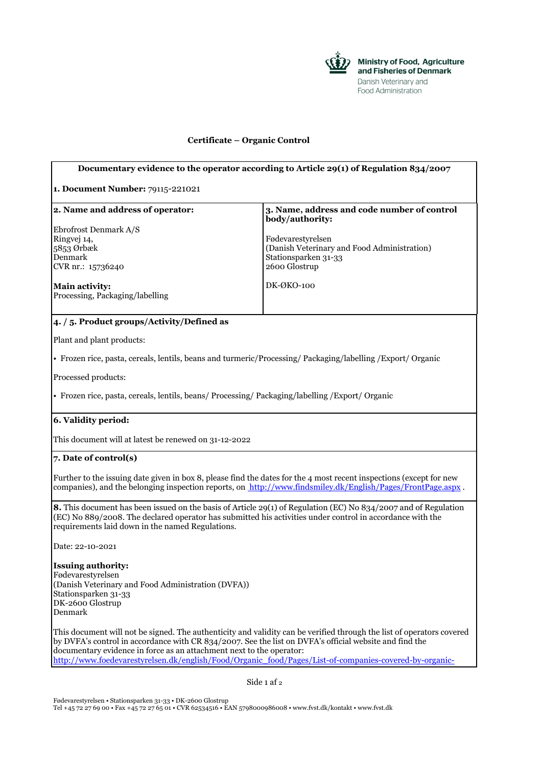

## **Certificate – Organic Control**

## **Documentary evidence to the operator according to Article 29(1) of Regulation 834/2007 1. Document Number:** 79115-221021 **2. Name and address of operator:** Ebrofrost Denmark A/S Ringvej 14, 5853 Ørbæk Denmark CVR nr.: 15736240 **Main activity:** Processing, Packaging/labelling **3. Name, address and code number of control body/authority:** Fødevarestyrelsen (Danish Veterinary and Food Administration) Stationsparken 31-33 2600 Glostrup DK-ØKO-100 **4. / 5. Product groups/Activity/Defined as** Plant and plant products: • Frozen rice, pasta, cereals, lentils, beans and turmeric/Processing/ Packaging/labelling /Export/ Organic Processed products: • Frozen rice, pasta, cereals, lentils, beans/ Processing/ Packaging/labelling /Export/ Organic **6. Validity period:** This document will at latest be renewed on 31-12-2022 **7. Date of control(s)** Further to the issuing date given in box 8, please find the dates for the 4 most recent inspections (except for new companies), and the belonging inspection reports, on <http://www.findsmiley.dk/English/Pages/FrontPage.aspx> . **8.** This document has been issued on the basis of Article 29(1) of Regulation (EC) No 834/2007 and of Regulation (EC) No 889/2008. The declared operator has submitted his activities under control in accordance with the requirements laid down in the named Regulations. Date: 22-10-2021 **Issuing authority:** Fødevarestyrelsen (Danish Veterinary and Food Administration (DVFA)) Stationsparken 31-33 DK-2600 Glostrup Denmark This document will not be signed. The authenticity and validity can be verified through the list of operators covered by DVFA's control in accordance with CR 834/2007. See the list on DVFA's official website and find the documentary evidence in force as an attachment next to the operator: [http://www.foedevarestyrelsen.dk/english/Food/Organic\\_food/Pages/List-of-companies-covered-by-organic-](http://www.foedevarestyrelsen.dk/english/Food/Organic_food/Pages/List-of-companies-covered-by-organic-inspection.aspx)

Side 1 af 2

Fødevarestyrelsen • Stationsparken 31-33 • DK-2600 Glostrup Tel +45 72 27 69 00 • Fax +45 72 27 65 01 • CVR 62534516 • EAN 5798000986008 • [www.fvst.dk/kontakt](http://www.fvst.dk/kontakt) • [www.fvst.dk](http://www.fvst.dk/)